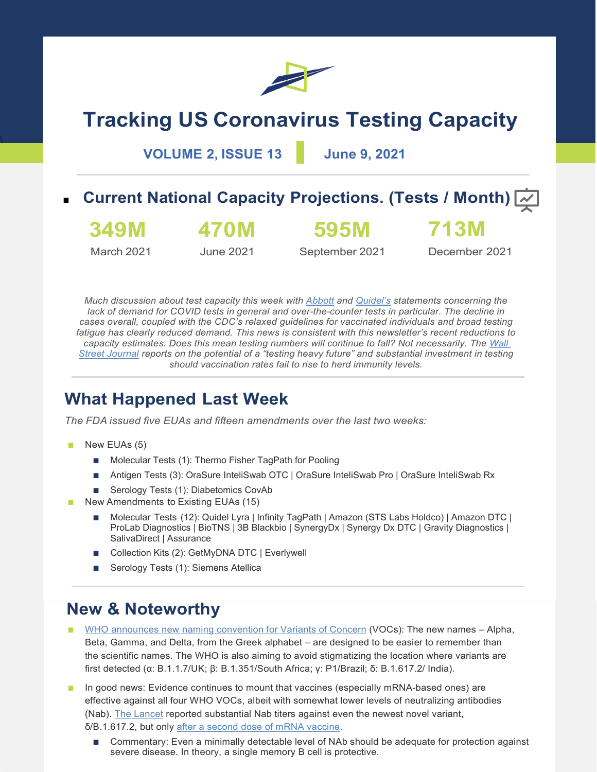

# **Tracking US Coronavirus Testing Capacity**

**VOLUME 2, ISSUE 13 June 9, 2021**

## **Current National Capacity Projections. (Tests / Month)**  $\boxed{\sim}$



**470M**

**595M**

March 2021

**349M**

 $\overline{a}$ 

June 2021

September 2021

December 2021

**713M**

*Much discussion about test capacity this week with [Abbott](https://abbott.mediaroom.com/2021-06-01-Abbott-Issues-Updated-2021-Outlook) and [Quidel's](https://kvgo.com/2021-global-healthcare-conference/quidel-corp-march-2021) statements concerning the lack of demand for COVID tests in general and over-the-counter tests in particular. The decline in cases overall, coupled with the CDC's relaxed guidelines for vaccinated individuals and broad testing fatigue has clearly reduced demand. This news is consistent with this newsletter's recent reductions to capacity estimates. Does this mean testing numbers will continue to fall? Not necessarily. The [Wall](https://www.wsj.com/articles/covid-19-testing-could-be-a-viable-long-term-business-bet-11622991601)  [Street Journal](https://www.wsj.com/articles/covid-19-testing-could-be-a-viable-long-term-business-bet-11622991601) reports on the potential of a "testing heavy future" and substantial investment in testing should vaccination rates fail to rise to herd immunity levels.*

## **What Happened Last Week**

*The FDA issued five EUAs and fifteen amendments over the last two weeks:*

- New EUAs (5)
	- Molecular Tests (1): Thermo Fisher TagPath for Pooling
	- Antigen Tests (3): OraSure InteliSwab OTC | OraSure InteliSwab Pro | OraSure InteliSwab Rx
	- Serology Tests (1): Diabetomics CovAb
- New Amendments to Existing EUAs (15)
	- Molecular Tests (12): Quidel Lyra | Infinity TagPath | Amazon (STS Labs Holdco) | Amazon DTC | ProLab Diagnostics | BioTNS | 3B Blackbio | SynergyDx | Synergy Dx DTC | Gravity Diagnostics | SalivaDirect | Assurance
	- Collection Kits (2): GetMyDNA DTC | Everlywell
	- Serology Tests (1): Siemens Atellica

### **New & Noteworthy**

- [WHO announces new naming convention for Variants of Concern](https://www.who.int/news/item/31-05-2021-who-announces-simple-easy-to-say-labels-for-sars-cov-2-variants-of-interest-and-concern) (VOCs): The new names Alpha, Beta, Gamma, and Delta, from the Greek alphabet – are designed to be easier to remember than the scientific names. The WHO is also aiming to avoid stigmatizing the location where variants are first detected (α: B.1.1.7/UK; β: B.1.351/South Africa; γ: P1/Brazil; δ: B.1.617.2/ India).
- In good news: Evidence continues to mount that vaccines (especially mRNA-based ones) are effective against all four WHO VOCs, albeit with somewhat lower levels of neutralizing antibodies (Nab). [The Lancet](https://doi.org/10.1016/S0140-6736(21)01290-3) reported substantial Nab titers against even the newest novel variant, δ/B.1.617.2, but only [after a second dose of mRNA vaccine.](https://www.thelancet.com/cms/10.1016/S0140-6736(21)01290-3/attachment/bdc1ff2e-e5e7-45cc-a6ba-00549cac24cd/mmc1.pdf)
	- Commentary: Even a minimally detectable level of NAb should be adequate for protection against severe disease. In theory, a single memory B cell is protective.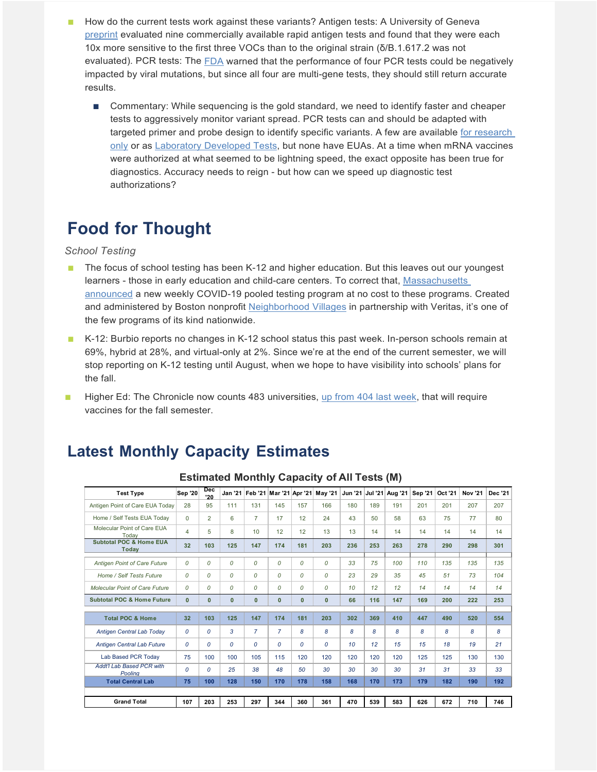- How do the current tests work against these variants? Antigen tests: A University of Geneva [preprint](https://doi.org/10.1101/2021.05.31.21258111) evaluated nine commercially available rapid antigen tests and found that they were each 10x more sensitive to the first three VOCs than to the original strain (δ/B.1.617.2 was not evaluated). PCR tests: The [FDA](https://www.fda.gov/medical-devices/coronavirus-covid-19-and-medical-devices/sars-cov-2-viral-mutations-impact-covid-19-tests#mutations) warned that the performance of four PCR tests could be negatively impacted by viral mutations, but since all four are multi-gene tests, they should still return accurate results.
	- Commentary: While sequencing is the gold standard, we need to identify faster and cheaper tests to aggressively monitor variant spread. PCR tests can and should be adapted with targeted primer and probe design to identify specific variants. A few are available [for research](https://www.seegene.com/press_release/seegenes_latest_covid_19_test_can_simultaneously_target_4_genes_of_sars_cov_2_and_recognize_multiple_virus_variants_2021)  [only](https://www.seegene.com/press_release/seegenes_latest_covid_19_test_can_simultaneously_target_4_genes_of_sars_cov_2_and_recognize_multiple_virus_variants_2021) or as [Laboratory Developed Tests,](https://doi.org/10.1101/2021.01.28.21250486) but none have EUAs. At a time when mRNA vaccines were authorized at what seemed to be lightning speed, the exact opposite has been true for diagnostics. Accuracy needs to reign - but how can we speed up diagnostic test authorizations?

## **Food for Thought**

#### *School Testing*

- The focus of school testing has been K-12 and higher education. But this leaves out our youngest learners - those in early education and child-care centers. To correct that, [Massachusetts](http://www.maearlyedtesting.com/)  [announced](http://www.maearlyedtesting.com/) a new weekly COVID-19 pooled testing program at no cost to these programs. Created and administered by Boston nonprofit [Neighborhood Villages](https://www.neighborhoodvillages.org/) in partnership with Veritas, it's one of the few programs of its kind nationwide.
- K-12: Burbio reports no changes in K-12 school status this past week. In-person schools remain at 69%, hybrid at 28%, and virtual-only at 2%. Since we're at the end of the current semester, we will stop reporting on K-12 testing until August, when we hope to have visibility into schools' plans for the fall.
- Higher Ed: The Chronicle now counts 483 universities, [up from 404 last week,](https://www.chronicle.com/blogs/live-coronavirus-updates/heres-a-list-of-colleges-that-will-require-students-to-be-vaccinated-against-covid-19) that will require vaccines for the fall semester.

#### **Latest Monthly Capacity Estimates**

| <b>Test Type</b>                                   | <b>Sep '20</b> | <b>Dec</b><br>'20 |               | Jan '21   Feb '21   Mar '21   Apr '21 |                |     | <b>May '21</b> | Jun '21 | <b>Jul '21</b> | Aug '21 | Sep '21 | Oct '21 | <b>Nov '21</b> | Dec '21 |
|----------------------------------------------------|----------------|-------------------|---------------|---------------------------------------|----------------|-----|----------------|---------|----------------|---------|---------|---------|----------------|---------|
| Antigen Point of Care EUA Today                    | 28             | 95                | 111           | 131                                   | 145            | 157 | 166            | 180     | 189            | 191     | 201     | 201     | 207            | 207     |
| Home / Self Tests EUA Todav                        | $\Omega$       | $\overline{2}$    | 6             | $\overline{7}$                        | 17             | 12  | 24             | 43      | 50             | 58      | 63      | 75      | 77             | 80      |
| Molecular Point of Care EUA<br>Todav               | 4              | 5                 | 8             | 10                                    | 12             | 12  | 13             | 13      | 14             | 14      | 14      | 14      | 14             | 14      |
| <b>Subtotal POC &amp; Home EUA</b><br><b>Todav</b> | 32             | 103               | 125           | 147                                   | 174            | 181 | 203            | 236     | 253            | 263     | 278     | 290     | 298            | 301     |
| Antigen Point of Care Future                       | 0              | 0                 | 0             | 0                                     | 0              | 0   | 0              | 33      | 75             | 100     | 110     | 135     | 135            | 135     |
| Home / Self Tests Future                           | 0              | 0                 | 0             | 0                                     | 0              | 0   | 0              | 23      | 29             | 35      | 45      | 51      | 73             | 104     |
| Molecular Point of Care Future                     | 0              | $\mathcal{O}$     | 0             | 0                                     | 0              | 0   | 0              | 10      | 12             | 12      | 14      | 14      | 14             | 14      |
| <b>Subtotal POC &amp; Home Future</b>              | $\mathbf{0}$   | $\mathbf{0}$      | $\bf{0}$      | $\mathbf{0}$                          | 0              | 0   | $\mathbf{0}$   | 66      | 116            | 147     | 169     | 200     | 222            | 253     |
| <b>Total POC &amp; Home</b>                        | 32             | 103               | 125           | 147                                   | 174            | 181 | 203            | 302     | 369            | 410     | 447     | 490     | 520            | 554     |
| Antigen Central Lab Today                          | 0              | 0                 | 3             | $\overline{7}$                        | $\overline{7}$ | 8   | 8              | 8       | 8              | 8       | 8       | 8       | 8              | 8       |
| <b>Antigen Central Lab Future</b>                  | 0              | 0                 | $\mathcal{O}$ | 0                                     | 0              | 0   | 0              | 10      | 12             | 15      | 15      | 18      | 19             | 21      |
| Lab Based PCR Today                                | 75             | 100               | 100           | 105                                   | 115            | 120 | 120            | 120     | 120            | 120     | 125     | 125     | 130            | 130     |
| <b>Addt'l Lab Based PCR with</b><br>Poolina        | 0              | $\mathcal{O}$     | 25            | 38                                    | 48             | 50  | 30             | 30      | 30             | 30      | 31      | 31      | 33             | 33      |
| <b>Total Central Lab</b>                           | 75             | 100               | 128           | 150                                   | 170            | 178 | 158            | 168     | 170            | 173     | 179     | 182     | 190            | 192     |
|                                                    |                |                   |               |                                       |                |     |                |         |                |         |         |         |                |         |
| <b>Grand Total</b>                                 | 107            | 203               | 253           | 297                                   | 344            | 360 | 361            | 470     | 539            | 583     | 626     | 672     | 710            | 746     |

#### **Estimated Monthly Capacity of All Tests (M)**